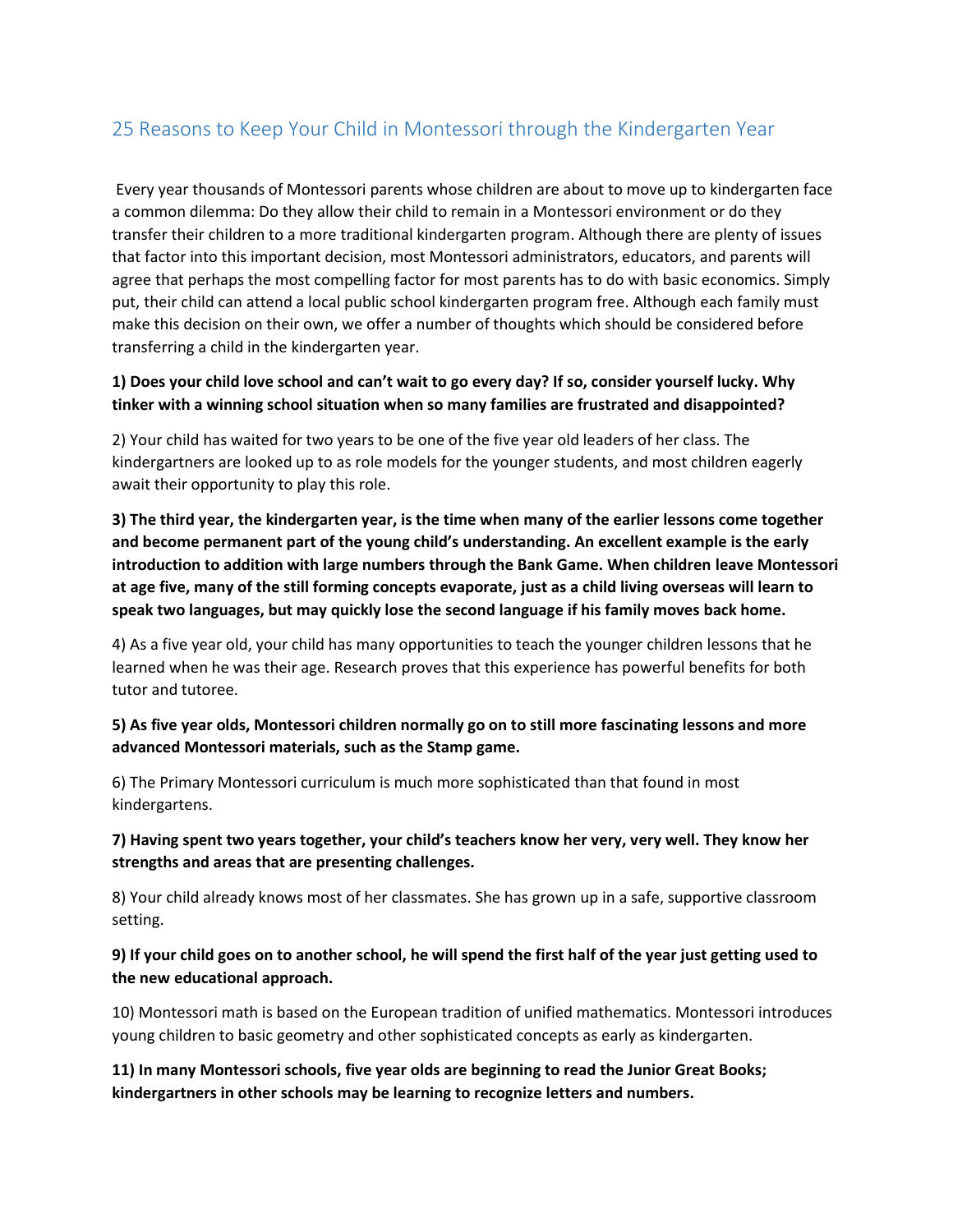# 25 Reasons to Keep Your Child in Montessori through the Kindergarten Year

Every year thousands of Montessori parents whose children are about to move up to kindergarten face a common dilemma: Do they allow their child to remain in a Montessori environment or do they transfer their children to a more traditional kindergarten program. Although there are plenty of issues that factor into this important decision, most Montessori administrators, educators, and parents will agree that perhaps the most compelling factor for most parents has to do with basic economics. Simply put, their child can attend a local public school kindergarten program free. Although each family must make this decision on their own, we offer a number of thoughts which should be considered before transferring a child in the kindergarten year.

## **1) Does your child love school and can't wait to go every day? If so, consider yourself lucky. Why tinker with a winning school situation when so many families are frustrated and disappointed?**

2) Your child has waited for two years to be one of the five year old leaders of her class. The kindergartners are looked up to as role models for the younger students, and most children eagerly await their opportunity to play this role.

**3) The third year, the kindergarten year, is the time when many of the earlier lessons come together and become permanent part of the young child's understanding. An excellent example is the early introduction to addition with large numbers through the Bank Game. When children leave Montessori at age five, many of the still forming concepts evaporate, just as a child living overseas will learn to speak two languages, but may quickly lose the second language if his family moves back home.**

4) As a five year old, your child has many opportunities to teach the younger children lessons that he learned when he was their age. Research proves that this experience has powerful benefits for both tutor and tutoree.

#### **5) As five year olds, Montessori children normally go on to still more fascinating lessons and more advanced Montessori materials, such as the Stamp game.**

6) The Primary Montessori curriculum is much more sophisticated than that found in most kindergartens.

## **7) Having spent two years together, your child's teachers know her very, very well. They know her strengths and areas that are presenting challenges.**

8) Your child already knows most of her classmates. She has grown up in a safe, supportive classroom setting.

## **9) If your child goes on to another school, he will spend the first half of the year just getting used to the new educational approach.**

10) Montessori math is based on the European tradition of unified mathematics. Montessori introduces young children to basic geometry and other sophisticated concepts as early as kindergarten.

**11) In many Montessori schools, five year olds are beginning to read the Junior Great Books; kindergartners in other schools may be learning to recognize letters and numbers.**